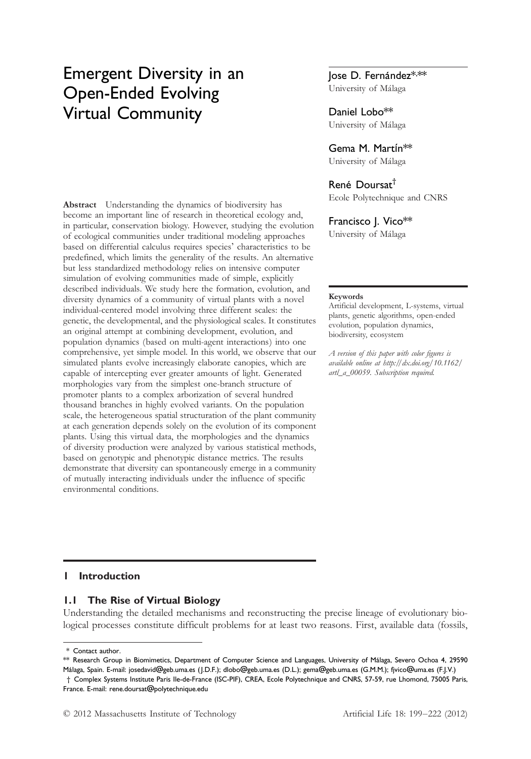# Emergent Diversity in an Open-Ended Evolving Virtual Community

Abstract Understanding the dynamics of biodiversity has become an important line of research in theoretical ecology and, in particular, conservation biology. However, studying the evolution of ecological communities under traditional modeling approaches based on differential calculus requires species' characteristics to be predefined, which limits the generality of the results. An alternative but less standardized methodology relies on intensive computer simulation of evolving communities made of simple, explicitly described individuals. We study here the formation, evolution, and diversity dynamics of a community of virtual plants with a novel individual-centered model involving three different scales: the genetic, the developmental, and the physiological scales. It constitutes an original attempt at combining development, evolution, and population dynamics (based on multi-agent interactions) into one comprehensive, yet simple model. In this world, we observe that our simulated plants evolve increasingly elaborate canopies, which are capable of intercepting ever greater amounts of light. Generated morphologies vary from the simplest one-branch structure of promoter plants to a complex arborization of several hundred thousand branches in highly evolved variants. On the population scale, the heterogeneous spatial structuration of the plant community at each generation depends solely on the evolution of its component plants. Using this virtual data, the morphologies and the dynamics of diversity production were analyzed by various statistical methods, based on genotypic and phenotypic distance metrics. The results demonstrate that diversity can spontaneously emerge in a community of mutually interacting individuals under the influence of specific environmental conditions.

Jose D. Fernández\*,\*\*

University of Málaga

Daniel Lobo<sup>\*\*</sup> University of Málaga

# Gema M. Martín\*\*

University of Málaga

# René Doursat†

Ecole Polytechnique and CNRS

# Francisco J. Vico\*\*

University of Málaga

#### Keywords

Artificial development, L-systems, virtual plants, genetic algorithms, open-ended evolution, population dynamics, biodiversity, ecosystem

A version of this paper with color figures is available online at http://dx.doi.org/10.1162/ artl\_a\_00059. Subscription required.

# 1 Introduction

# 1.1 The Rise of Virtual Biology

Understanding the detailed mechanisms and reconstructing the precise lineage of evolutionary biological processes constitute difficult problems for at least two reasons. First, available data (fossils,

<sup>\*</sup> Contact author.

<sup>\*\*</sup> Research Group in Biomimetics, Department of Computer Science and Languages, University of Málaga, Severo Ochoa 4, 29590 Málaga, Spain. E-mail: josedavid@geb.uma.es (J.D.F.); dlobo@geb.uma.es (D.L.); gema@geb.uma.es (G.M.M.); fjvico@uma.es (F.J.V.)

<sup>†</sup> Complex Systems Institute Paris Ile-de-France (ISC-PIF), CREA, Ecole Polytechnique and CNRS, 57-59, rue Lhomond, 75005 Paris, France. E-mail: rene.doursat@polytechnique.edu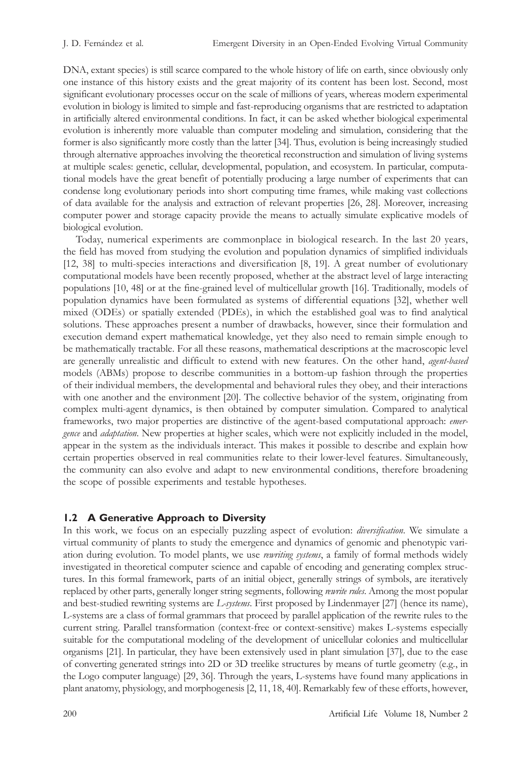DNA, extant species) is still scarce compared to the whole history of life on earth, since obviously only one instance of this history exists and the great majority of its content has been lost. Second, most significant evolutionary processes occur on the scale of millions of years, whereas modern experimental evolution in biology is limited to simple and fast-reproducing organisms that are restricted to adaptation in artificially altered environmental conditions. In fact, it can be asked whether biological experimental evolution is inherently more valuable than computer modeling and simulation, considering that the former is also significantly more costly than the latter [34]. Thus, evolution is being increasingly studied through alternative approaches involving the theoretical reconstruction and simulation of living systems at multiple scales: genetic, cellular, developmental, population, and ecosystem. In particular, computational models have the great benefit of potentially producing a large number of experiments that can condense long evolutionary periods into short computing time frames, while making vast collections of data available for the analysis and extraction of relevant properties [26, 28]. Moreover, increasing computer power and storage capacity provide the means to actually simulate explicative models of biological evolution.

Today, numerical experiments are commonplace in biological research. In the last 20 years, the field has moved from studying the evolution and population dynamics of simplified individuals [12, 38] to multi-species interactions and diversification [8, 19]. A great number of evolutionary computational models have been recently proposed, whether at the abstract level of large interacting populations [10, 48] or at the fine-grained level of multicellular growth [16]. Traditionally, models of population dynamics have been formulated as systems of differential equations [32], whether well mixed (ODEs) or spatially extended (PDEs), in which the established goal was to find analytical solutions. These approaches present a number of drawbacks, however, since their formulation and execution demand expert mathematical knowledge, yet they also need to remain simple enough to be mathematically tractable. For all these reasons, mathematical descriptions at the macroscopic level are generally unrealistic and difficult to extend with new features. On the other hand, agent-based models (ABMs) propose to describe communities in a bottom-up fashion through the properties of their individual members, the developmental and behavioral rules they obey, and their interactions with one another and the environment [20]. The collective behavior of the system, originating from complex multi-agent dynamics, is then obtained by computer simulation. Compared to analytical frameworks, two major properties are distinctive of the agent-based computational approach: emergence and *adaptation*. New properties at higher scales, which were not explicitly included in the model, appear in the system as the individuals interact. This makes it possible to describe and explain how certain properties observed in real communities relate to their lower-level features. Simultaneously, the community can also evolve and adapt to new environmental conditions, therefore broadening the scope of possible experiments and testable hypotheses.

# 1.2 A Generative Approach to Diversity

In this work, we focus on an especially puzzling aspect of evolution: *diversification*. We simulate a virtual community of plants to study the emergence and dynamics of genomic and phenotypic variation during evolution. To model plants, we use *rewriting systems*, a family of formal methods widely investigated in theoretical computer science and capable of encoding and generating complex structures. In this formal framework, parts of an initial object, generally strings of symbols, are iteratively replaced by other parts, generally longer string segments, following rewrite rules. Among the most popular and best-studied rewriting systems are L-systems. First proposed by Lindenmayer [27] (hence its name), L-systems are a class of formal grammars that proceed by parallel application of the rewrite rules to the current string. Parallel transformation (context-free or context-sensitive) makes L-systems especially suitable for the computational modeling of the development of unicellular colonies and multicellular organisms [21]. In particular, they have been extensively used in plant simulation [37], due to the ease of converting generated strings into 2D or 3D treelike structures by means of turtle geometry (e.g., in the Logo computer language) [29, 36]. Through the years, L-systems have found many applications in plant anatomy, physiology, and morphogenesis [2, 11, 18, 40]. Remarkably few of these efforts, however,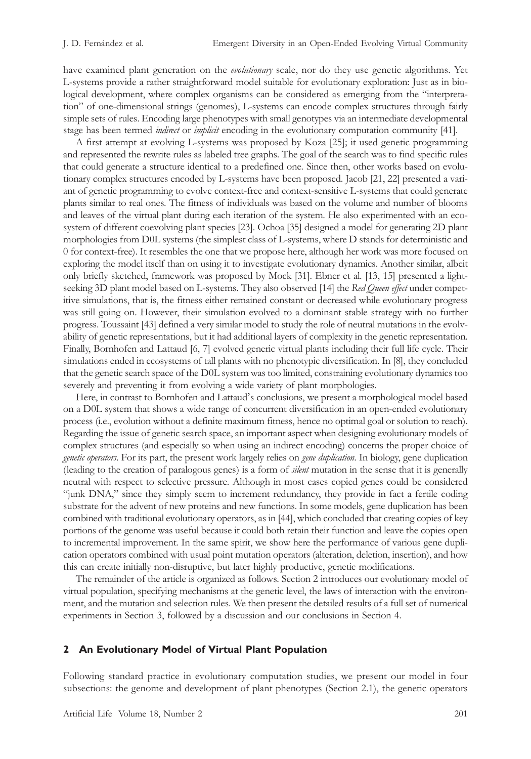have examined plant generation on the *evolutionary* scale, nor do they use genetic algorithms. Yet L-systems provide a rather straightforward model suitable for evolutionary exploration: Just as in biological development, where complex organisms can be considered as emerging from the "interpretation" of one-dimensional strings (genomes), L-systems can encode complex structures through fairly simple sets of rules. Encoding large phenotypes with small genotypes via an intermediate developmental stage has been termed *indirect* or *implicit* encoding in the evolutionary computation community [41].

A first attempt at evolving L-systems was proposed by Koza [25]; it used genetic programming and represented the rewrite rules as labeled tree graphs. The goal of the search was to find specific rules that could generate a structure identical to a predefined one. Since then, other works based on evolutionary complex structures encoded by L-systems have been proposed. Jacob [21, 22] presented a variant of genetic programming to evolve context-free and context-sensitive L-systems that could generate plants similar to real ones. The fitness of individuals was based on the volume and number of blooms and leaves of the virtual plant during each iteration of the system. He also experimented with an ecosystem of different coevolving plant species [23]. Ochoa [35] designed a model for generating 2D plant morphologies from D0L systems (the simplest class of L-systems, where D stands for deterministic and 0 for context-free). It resembles the one that we propose here, although her work was more focused on exploring the model itself than on using it to investigate evolutionary dynamics. Another similar, albeit only briefly sketched, framework was proposed by Mock [31]. Ebner et al. [13, 15] presented a lightseeking 3D plant model based on L-systems. They also observed [14] the Red Queen effect under competitive simulations, that is, the fitness either remained constant or decreased while evolutionary progress was still going on. However, their simulation evolved to a dominant stable strategy with no further progress. Toussaint [43] defined a very similar model to study the role of neutral mutations in the evolvability of genetic representations, but it had additional layers of complexity in the genetic representation. Finally, Bornhofen and Lattaud [6, 7] evolved generic virtual plants including their full life cycle. Their simulations ended in ecosystems of tall plants with no phenotypic diversification. In [8], they concluded that the genetic search space of the D0L system was too limited, constraining evolutionary dynamics too severely and preventing it from evolving a wide variety of plant morphologies.

Here, in contrast to Bornhofen and Lattaud's conclusions, we present a morphological model based on a D0L system that shows a wide range of concurrent diversification in an open-ended evolutionary process (i.e., evolution without a definite maximum fitness, hence no optimal goal or solution to reach). Regarding the issue of genetic search space, an important aspect when designing evolutionary models of complex structures (and especially so when using an indirect encoding) concerns the proper choice of genetic operators. For its part, the present work largely relies on gene duplication. In biology, gene duplication (leading to the creation of paralogous genes) is a form of silent mutation in the sense that it is generally neutral with respect to selective pressure. Although in most cases copied genes could be considered "junk DNA," since they simply seem to increment redundancy, they provide in fact a fertile coding substrate for the advent of new proteins and new functions. In some models, gene duplication has been combined with traditional evolutionary operators, as in [44], which concluded that creating copies of key portions of the genome was useful because it could both retain their function and leave the copies open to incremental improvement. In the same spirit, we show here the performance of various gene duplication operators combined with usual point mutation operators (alteration, deletion, insertion), and how this can create initially non-disruptive, but later highly productive, genetic modifications.

The remainder of the article is organized as follows. Section 2 introduces our evolutionary model of virtual population, specifying mechanisms at the genetic level, the laws of interaction with the environment, and the mutation and selection rules. We then present the detailed results of a full set of numerical experiments in Section 3, followed by a discussion and our conclusions in Section 4.

### 2 An Evolutionary Model of Virtual Plant Population

Following standard practice in evolutionary computation studies, we present our model in four subsections: the genome and development of plant phenotypes (Section 2.1), the genetic operators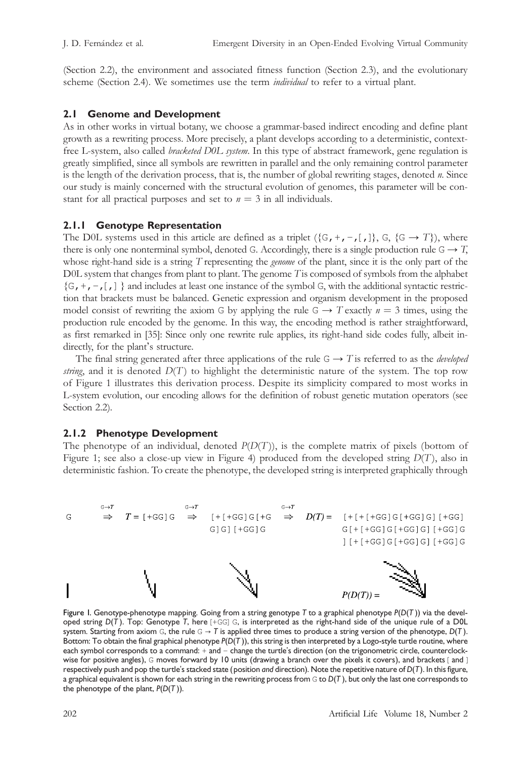(Section 2.2), the environment and associated fitness function (Section 2.3), and the evolutionary scheme (Section 2.4). We sometimes use the term *individual* to refer to a virtual plant.

### 2.1 Genome and Development

As in other works in virtual botany, we choose a grammar-based indirect encoding and define plant growth as a rewriting process. More precisely, a plant develops according to a deterministic, contextfree L-system, also called *bracketed DOL system*. In this type of abstract framework, gene regulation is greatly simplified, since all symbols are rewritten in parallel and the only remaining control parameter is the length of the derivation process, that is, the number of global rewriting stages, denoted *n*. Since our study is mainly concerned with the structural evolution of genomes, this parameter will be constant for all practical purposes and set to  $n = 3$  in all individuals.

### 2.1.1 Genotype Representation

The D0L systems used in this article are defined as a triplet ( $\{G, +,-,[,]\}$ , G,  $\{G \rightarrow T\}$ ), where there is only one nonterminal symbol, denoted G. Accordingly, there is a single production rule  $G \rightarrow T$ , whose right-hand side is a string T representing the *genome* of the plant, since it is the only part of the D0L system that changes from plant to plant. The genome T is composed of symbols from the alphabet  $\{G, +,-,[\,,\,]\}$  and includes at least one instance of the symbol G, with the additional syntactic restriction that brackets must be balanced. Genetic expression and organism development in the proposed model consist of rewriting the axiom G by applying the rule G  $\rightarrow T$  exactly  $n = 3$  times, using the production rule encoded by the genome. In this way, the encoding method is rather straightforward, as first remarked in [35]: Since only one rewrite rule applies, its right-hand side codes fully, albeit indirectly, for the plant's structure.

The final string generated after three applications of the rule  $G \rightarrow T$  is referred to as the *developed* string, and it is denoted  $D(T)$  to highlight the deterministic nature of the system. The top row of Figure 1 illustrates this derivation process. Despite its simplicity compared to most works in L-system evolution, our encoding allows for the definition of robust genetic mutation operators (see Section 2.2).

#### 2.1.2 Phenotype Development

The phenotype of an individual, denoted  $P(D(T))$ , is the complete matrix of pixels (bottom of Figure 1; see also a close-up view in Figure 4) produced from the developed string  $D(T)$ , also in deterministic fashion. To create the phenotype, the developed string is interpreted graphically through



Figure I. Genotype-phenotype mapping. Going from a string genotype T to a graphical phenotype  $P(D(T))$  via the developed string  $D(T)$ . Top: Genotype T, here  $[+GG]$  G, is interpreted as the right-hand side of the unique rule of a D0L system. Starting from axiom G, the rule  $G \to T$  is applied three times to produce a string version of the phenotype,  $D(T)$ . Bottom: To obtain the final graphical phenotype  $P(D(T))$ , this string is then interpreted by a Logo-style turtle routine, where each symbol corresponds to a command: + and − change the turtle's direction (on the trigonometric circle, counterclockwise for positive angles), G moves forward by 10 units (drawing a branch over the pixels it covers), and brackets [ and ] respectively push and pop the turtle's stacked state (position and direction). Note the repetitive nature of  $D(T)$ . In this figure, a graphical equivalent is shown for each string in the rewriting process from  $G$  to  $D(T)$ , but only the last one corresponds to the phenotype of the plant,  $P(D(T))$ .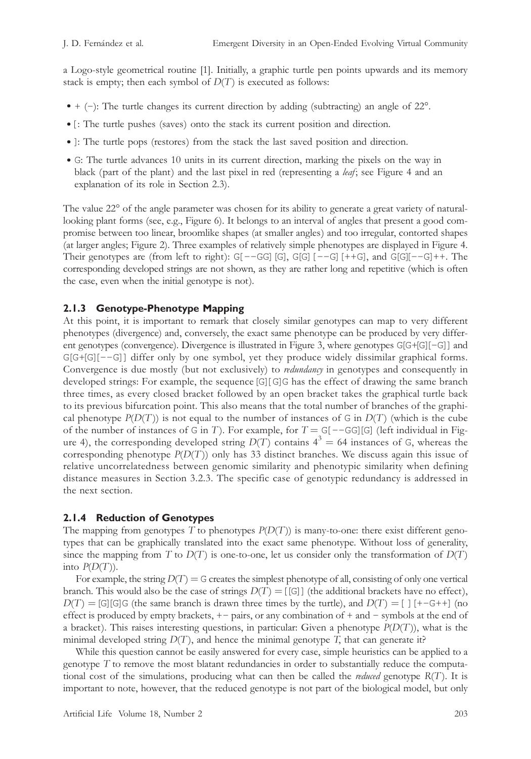a Logo-style geometrical routine [1]. Initially, a graphic turtle pen points upwards and its memory stack is empty; then each symbol of  $D(T)$  is executed as follows:

- $\bullet + (-)$ : The turtle changes its current direction by adding (subtracting) an angle of 22°.
- [: The turtle pushes (saves) onto the stack its current position and direction.
- ]: The turtle pops (restores) from the stack the last saved position and direction.
- G: The turtle advances 10 units in its current direction, marking the pixels on the way in black (part of the plant) and the last pixel in red (representing a leaf; see Figure 4 and an explanation of its role in Section 2.3).

The value 22° of the angle parameter was chosen for its ability to generate a great variety of naturallooking plant forms (see, e.g., Figure 6). It belongs to an interval of angles that present a good compromise between too linear, broomlike shapes (at smaller angles) and too irregular, contorted shapes (at larger angles; Figure 2). Three examples of relatively simple phenotypes are displayed in Figure 4. Their genotypes are (from left to right): G[−−GG][G], G[G][−−G][++G], and G[G][−−G]++. The corresponding developed strings are not shown, as they are rather long and repetitive (which is often the case, even when the initial genotype is not).

# 2.1.3 Genotype-Phenotype Mapping

At this point, it is important to remark that closely similar genotypes can map to very different phenotypes (divergence) and, conversely, the exact same phenotype can be produced by very different genotypes (convergence). Divergence is illustrated in Figure 3, where genotypes G[G+[G][−G]] and G[G+[G][--G]] differ only by one symbol, yet they produce widely dissimilar graphical forms. Convergence is due mostly (but not exclusively) to redundancy in genotypes and consequently in developed strings: For example, the sequence [G][G]G has the effect of drawing the same branch three times, as every closed bracket followed by an open bracket takes the graphical turtle back to its previous bifurcation point. This also means that the total number of branches of the graphical phenotype  $P(D(T))$  is not equal to the number of instances of G in  $D(T)$  (which is the cube of the number of instances of G in T). For example, for  $T = G[--GG][G]$  (left individual in Figure 4), the corresponding developed string  $D(T)$  contains  $4^3 = 64$  instances of G, whereas the corresponding phenotype  $P(D(T))$  only has 33 distinct branches. We discuss again this issue of relative uncorrelatedness between genomic similarity and phenotypic similarity when defining distance measures in Section 3.2.3. The specific case of genotypic redundancy is addressed in the next section.

### 2.1.4 Reduction of Genotypes

The mapping from genotypes  $T$  to phenotypes  $P(D(T))$  is many-to-one: there exist different genotypes that can be graphically translated into the exact same phenotype. Without loss of generality, since the mapping from T to  $D(T)$  is one-to-one, let us consider only the transformation of  $D(T)$ into  $P(D(T))$ .

For example, the string  $D(T) = G$  creates the simplest phenotype of all, consisting of only one vertical branch. This would also be the case of strings  $D(T) = [[G]]$  (the additional brackets have no effect),  $D(T) = [G][G]G$  (the same branch is drawn three times by the turtle), and  $D(T) = [G]G + G + 1$  (no effect is produced by empty brackets, +− pairs, or any combination of + and − symbols at the end of a bracket). This raises interesting questions, in particular: Given a phenotype  $P(D(T))$ , what is the minimal developed string  $D(T)$ , and hence the minimal genotype T, that can generate it?

While this question cannot be easily answered for every case, simple heuristics can be applied to a genotype  $T$  to remove the most blatant redundancies in order to substantially reduce the computational cost of the simulations, producing what can then be called the *reduced* genotype  $R(T)$ . It is important to note, however, that the reduced genotype is not part of the biological model, but only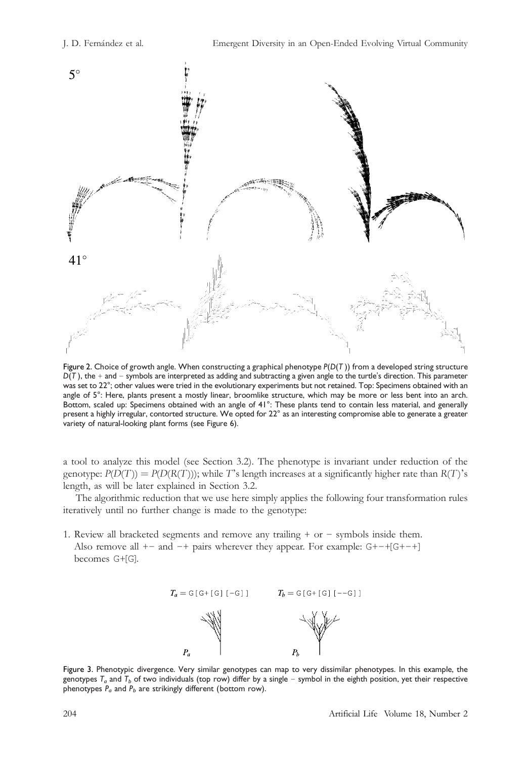

Figure 2. Choice of growth angle. When constructing a graphical phenotype  $P(D(T))$  from a developed string structure D(T), the + and − symbols are interpreted as adding and subtracting a given angle to the turtle's direction. This parameter was set to 22°; other values were tried in the evolutionary experiments but not retained. Top: Specimens obtained with an angle of 5°: Here, plants present a mostly linear, broomlike structure, which may be more or less bent into an arch. Bottom, scaled up: Specimens obtained with an angle of 41°: These plants tend to contain less material, and generally present a highly irregular, contorted structure. We opted for 22° as an interesting compromise able to generate a greater variety of natural-looking plant forms (see Figure 6).

a tool to analyze this model (see Section 3.2). The phenotype is invariant under reduction of the genotype:  $P(D(T)) = P(D(R(T)))$ ; while T's length increases at a significantly higher rate than R(T)'s length, as will be later explained in Section 3.2.

The algorithmic reduction that we use here simply applies the following four transformation rules iteratively until no further change is made to the genotype:

1. Review all bracketed segments and remove any trailing + or − symbols inside them. Also remove all +− and −+ pairs wherever they appear. For example: G+−+[G+−+] becomes G+[G].



Figure 3. Phenotypic divergence. Very similar genotypes can map to very dissimilar phenotypes. In this example, the genotypes  $T_a$  and  $T_b$  of two individuals (top row) differ by a single − symbol in the eighth position, yet their respective phenotypes  $P_a$  and  $P_b$  are strikingly different (bottom row).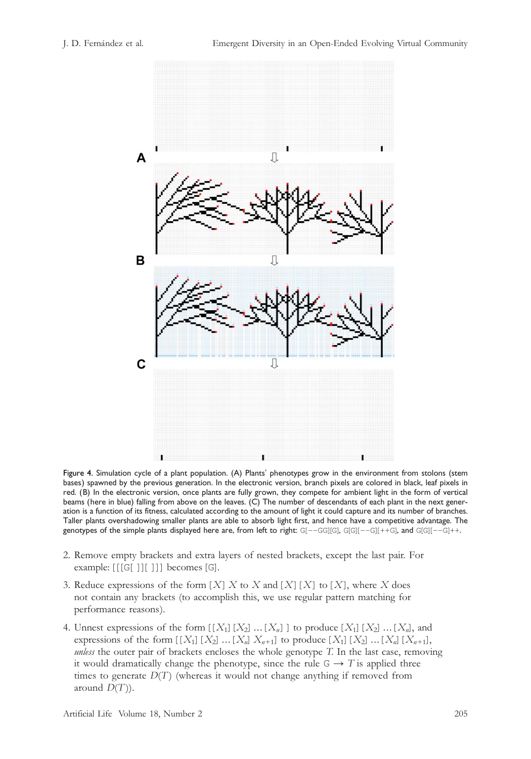

Figure 4. Simulation cycle of a plant population. (A) Plants' phenotypes grow in the environment from stolons (stem bases) spawned by the previous generation. In the electronic version, branch pixels are colored in black, leaf pixels in red. (B) In the electronic version, once plants are fully grown, they compete for ambient light in the form of vertical beams (here in blue) falling from above on the leaves. (C) The number of descendants of each plant in the next generation is a function of its fitness, calculated according to the amount of light it could capture and its number of branches. Taller plants overshadowing smaller plants are able to absorb light first, and hence have a competitive advantage. The genotypes of the simple plants displayed here are, from left to right: G[−−GG][G], G[G][−−G][++G], and G[G][−−G]++.

- 2. Remove empty brackets and extra layers of nested brackets, except the last pair. For example: [[[G[]][]]] becomes [G].
- 3. Reduce expressions of the form  $[X] X$  to  $X$  and  $[X] [X]$  to  $[X]$ , where  $X$  does not contain any brackets (to accomplish this, we use regular pattern matching for performance reasons).
- 4. Unnest expressions of the form  $[[X_1][X_2] \dots [X_n]]$  to produce  $[X_1][X_2] \dots [X_n]$ , and expressions of the form  $[[X_1][X_2] \dots [X_n][X_{n+1}]$  to produce  $[X_1][X_2] \dots [X_n][X_{n+1}]$ , unless the outer pair of brackets encloses the whole genotype T. In the last case, removing it would dramatically change the phenotype, since the rule  $G \rightarrow T$  is applied three times to generate  $D(T)$  (whereas it would not change anything if removed from around  $D(T)$ ).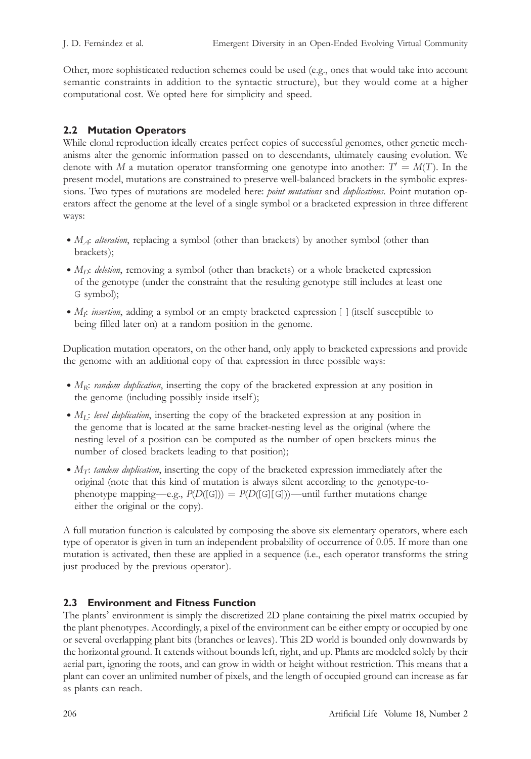Other, more sophisticated reduction schemes could be used (e.g., ones that would take into account semantic constraints in addition to the syntactic structure), but they would come at a higher computational cost. We opted here for simplicity and speed.

# 2.2 Mutation Operators

While clonal reproduction ideally creates perfect copies of successful genomes, other genetic mechanisms alter the genomic information passed on to descendants, ultimately causing evolution. We denote with M a mutation operator transforming one genotype into another:  $T' = M(T)$ . In the present model, mutations are constrained to preserve well-balanced brackets in the symbolic expressions. Two types of mutations are modeled here: *point mutations* and *duplications*. Point mutation operators affect the genome at the level of a single symbol or a bracketed expression in three different ways:

- $M_A$ : *alteration*, replacing a symbol (other than brackets) by another symbol (other than brackets);
- $\bullet$  M<sub>D</sub>: deletion, removing a symbol (other than brackets) or a whole bracketed expression of the genotype (under the constraint that the resulting genotype still includes at least one G symbol);
- $M_I$ : insertion, adding a symbol or an empty bracketed expression [] (itself susceptible to being filled later on) at a random position in the genome.

Duplication mutation operators, on the other hand, only apply to bracketed expressions and provide the genome with an additional copy of that expression in three possible ways:

- $M_R$ : random duplication, inserting the copy of the bracketed expression at any position in the genome (including possibly inside itself );
- $M_L$ : level duplication, inserting the copy of the bracketed expression at any position in the genome that is located at the same bracket-nesting level as the original (where the nesting level of a position can be computed as the number of open brackets minus the number of closed brackets leading to that position);
- $M_T$ : tandem duplication, inserting the copy of the bracketed expression immediately after the original (note that this kind of mutation is always silent according to the genotype-tophenotype mapping—e.g.,  $P(D([G])) = P(D([G][G]))$ —until further mutations change either the original or the copy).

A full mutation function is calculated by composing the above six elementary operators, where each type of operator is given in turn an independent probability of occurrence of 0.05. If more than one mutation is activated, then these are applied in a sequence (i.e., each operator transforms the string just produced by the previous operator).

# 2.3 Environment and Fitness Function

The plants' environment is simply the discretized 2D plane containing the pixel matrix occupied by the plant phenotypes. Accordingly, a pixel of the environment can be either empty or occupied by one or several overlapping plant bits (branches or leaves). This 2D world is bounded only downwards by the horizontal ground. It extends without bounds left, right, and up. Plants are modeled solely by their aerial part, ignoring the roots, and can grow in width or height without restriction. This means that a plant can cover an unlimited number of pixels, and the length of occupied ground can increase as far as plants can reach.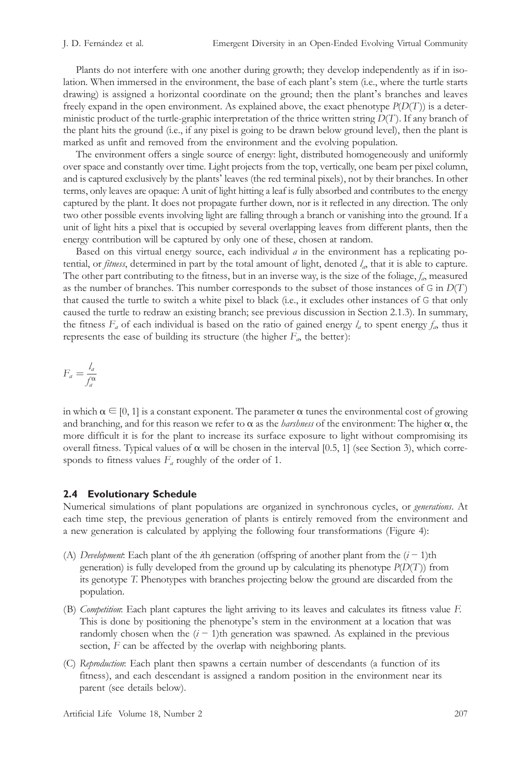Plants do not interfere with one another during growth; they develop independently as if in isolation. When immersed in the environment, the base of each plant's stem (i.e., where the turtle starts drawing) is assigned a horizontal coordinate on the ground; then the plant's branches and leaves freely expand in the open environment. As explained above, the exact phenotype  $P(D(T))$  is a deterministic product of the turtle-graphic interpretation of the thrice written string  $D(T)$ . If any branch of the plant hits the ground (i.e., if any pixel is going to be drawn below ground level), then the plant is marked as unfit and removed from the environment and the evolving population.

The environment offers a single source of energy: light, distributed homogeneously and uniformly over space and constantly over time. Light projects from the top, vertically, one beam per pixel column, and is captured exclusively by the plants' leaves (the red terminal pixels), not by their branches. In other terms, only leaves are opaque: A unit of light hitting a leaf is fully absorbed and contributes to the energy captured by the plant. It does not propagate further down, nor is it reflected in any direction. The only two other possible events involving light are falling through a branch or vanishing into the ground. If a unit of light hits a pixel that is occupied by several overlapping leaves from different plants, then the energy contribution will be captured by only one of these, chosen at random.

Based on this virtual energy source, each individual  $a$  in the environment has a replicating potential, or *fitness*, determined in part by the total amount of light, denoted  $l_a$ , that it is able to capture. The other part contributing to the fitness, but in an inverse way, is the size of the foliage,  $f_a$ , measured as the number of branches. This number corresponds to the subset of those instances of  $G$  in  $D(T)$ that caused the turtle to switch a white pixel to black (i.e., it excludes other instances of G that only caused the turtle to redraw an existing branch; see previous discussion in Section 2.1.3). In summary, the fitness  $F_a$  of each individual is based on the ratio of gained energy  $l_a$  to spent energy  $f_a$ , thus it represents the ease of building its structure (the higher  $F_{\varphi}$ , the better):

$$
F_a = \frac{l_a}{f_a^{\alpha}}
$$

in which  $\alpha \in [0, 1]$  is a constant exponent. The parameter  $\alpha$  tunes the environmental cost of growing and branching, and for this reason we refer to  $\alpha$  as the *harshness* of the environment: The higher  $\alpha$ , the more difficult it is for the plant to increase its surface exposure to light without compromising its overall fitness. Typical values of  $\alpha$  will be chosen in the interval [0.5, 1] (see Section 3), which corresponds to fitness values  $F_a$  roughly of the order of 1.

#### 2.4 Evolutionary Schedule

Numerical simulations of plant populations are organized in synchronous cycles, or *generations*. At each time step, the previous generation of plants is entirely removed from the environment and a new generation is calculated by applying the following four transformations (Figure 4):

- (A) Development: Each plant of the *i*th generation (offspring of another plant from the  $(i 1)$ th generation) is fully developed from the ground up by calculating its phenotype  $P(D(T))$  from its genotype T. Phenotypes with branches projecting below the ground are discarded from the population.
- (B) Competition: Each plant captures the light arriving to its leaves and calculates its fitness value F. This is done by positioning the phenotype's stem in the environment at a location that was randomly chosen when the  $(i - 1)$ th generation was spawned. As explained in the previous section, F can be affected by the overlap with neighboring plants.
- (C) Reproduction: Each plant then spawns a certain number of descendants (a function of its fitness), and each descendant is assigned a random position in the environment near its parent (see details below).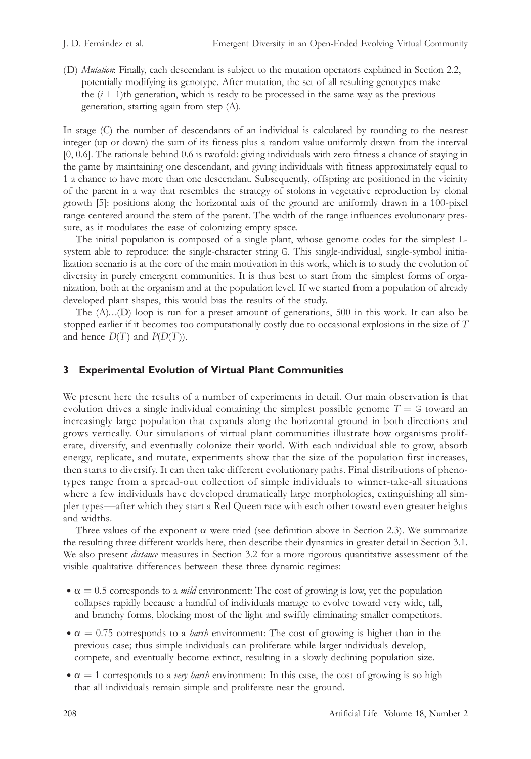(D) Mutation: Finally, each descendant is subject to the mutation operators explained in Section 2.2, potentially modifying its genotype. After mutation, the set of all resulting genotypes make the  $(i + 1)$ th generation, which is ready to be processed in the same way as the previous generation, starting again from step (A).

In stage (C) the number of descendants of an individual is calculated by rounding to the nearest integer (up or down) the sum of its fitness plus a random value uniformly drawn from the interval [0, 0.6]. The rationale behind 0.6 is twofold: giving individuals with zero fitness a chance of staying in the game by maintaining one descendant, and giving individuals with fitness approximately equal to 1 a chance to have more than one descendant. Subsequently, offspring are positioned in the vicinity of the parent in a way that resembles the strategy of stolons in vegetative reproduction by clonal growth [5]: positions along the horizontal axis of the ground are uniformly drawn in a 100-pixel range centered around the stem of the parent. The width of the range influences evolutionary pressure, as it modulates the ease of colonizing empty space.

The initial population is composed of a single plant, whose genome codes for the simplest Lsystem able to reproduce: the single-character string G. This single-individual, single-symbol initialization scenario is at the core of the main motivation in this work, which is to study the evolution of diversity in purely emergent communities. It is thus best to start from the simplest forms of organization, both at the organism and at the population level. If we started from a population of already developed plant shapes, this would bias the results of the study.

The (A)…(D) loop is run for a preset amount of generations, 500 in this work. It can also be stopped earlier if it becomes too computationally costly due to occasional explosions in the size of T and hence  $D(T)$  and  $P(D(T))$ .

# 3 Experimental Evolution of Virtual Plant Communities

We present here the results of a number of experiments in detail. Our main observation is that evolution drives a single individual containing the simplest possible genome  $T = G$  toward an increasingly large population that expands along the horizontal ground in both directions and grows vertically. Our simulations of virtual plant communities illustrate how organisms proliferate, diversify, and eventually colonize their world. With each individual able to grow, absorb energy, replicate, and mutate, experiments show that the size of the population first increases, then starts to diversify. It can then take different evolutionary paths. Final distributions of phenotypes range from a spread-out collection of simple individuals to winner-take-all situations where a few individuals have developed dramatically large morphologies, extinguishing all simpler types—after which they start a Red Queen race with each other toward even greater heights and widths.

Three values of the exponent  $\alpha$  were tried (see definition above in Section 2.3). We summarize the resulting three different worlds here, then describe their dynamics in greater detail in Section 3.1. We also present *distance* measures in Section 3.2 for a more rigorous quantitative assessment of the visible qualitative differences between these three dynamic regimes:

- $\bullet \alpha = 0.5$  corresponds to a *mild* environment: The cost of growing is low, yet the population collapses rapidly because a handful of individuals manage to evolve toward very wide, tall, and branchy forms, blocking most of the light and swiftly eliminating smaller competitors.
- $\alpha = 0.75$  corresponds to a *harsh* environment: The cost of growing is higher than in the previous case; thus simple individuals can proliferate while larger individuals develop, compete, and eventually become extinct, resulting in a slowly declining population size.
- $\alpha = 1$  corresponds to a *very harsh* environment: In this case, the cost of growing is so high that all individuals remain simple and proliferate near the ground.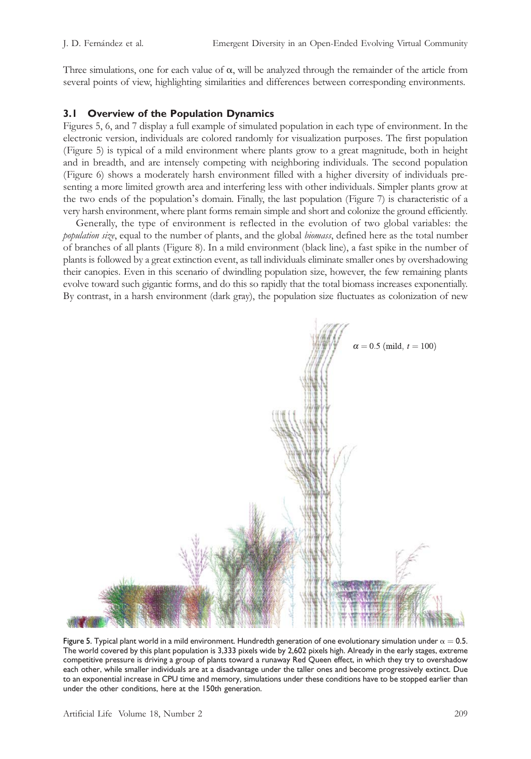Three simulations, one for each value of  $\alpha$ , will be analyzed through the remainder of the article from several points of view, highlighting similarities and differences between corresponding environments.

# 3.1 Overview of the Population Dynamics

Figures 5, 6, and 7 display a full example of simulated population in each type of environment. In the electronic version, individuals are colored randomly for visualization purposes. The first population (Figure 5) is typical of a mild environment where plants grow to a great magnitude, both in height and in breadth, and are intensely competing with neighboring individuals. The second population (Figure 6) shows a moderately harsh environment filled with a higher diversity of individuals presenting a more limited growth area and interfering less with other individuals. Simpler plants grow at the two ends of the population's domain. Finally, the last population (Figure 7) is characteristic of a very harsh environment, where plant forms remain simple and short and colonize the ground efficiently.

Generally, the type of environment is reflected in the evolution of two global variables: the population size, equal to the number of plants, and the global biomass, defined here as the total number of branches of all plants (Figure 8). In a mild environment (black line), a fast spike in the number of plants is followed by a great extinction event, as tall individuals eliminate smaller ones by overshadowing their canopies. Even in this scenario of dwindling population size, however, the few remaining plants evolve toward such gigantic forms, and do this so rapidly that the total biomass increases exponentially. By contrast, in a harsh environment (dark gray), the population size fluctuates as colonization of new



Figure 5. Typical plant world in a mild environment. Hundredth generation of one evolutionary simulation under  $\alpha = 0.5$ . The world covered by this plant population is 3,333 pixels wide by 2,602 pixels high. Already in the early stages, extreme competitive pressure is driving a group of plants toward a runaway Red Queen effect, in which they try to overshadow each other, while smaller individuals are at a disadvantage under the taller ones and become progressively extinct. Due to an exponential increase in CPU time and memory, simulations under these conditions have to be stopped earlier than under the other conditions, here at the 150th generation.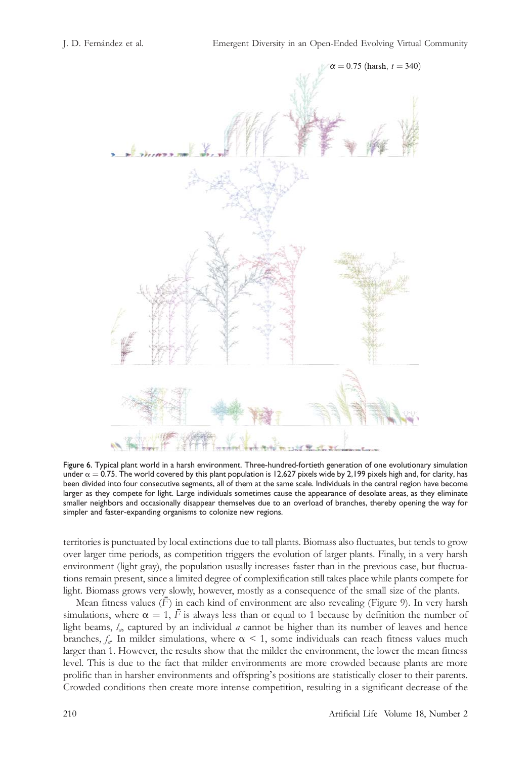

Figure 6. Typical plant world in a harsh environment. Three-hundred-fortieth generation of one evolutionary simulation under  $\alpha = 0.75$ . The world covered by this plant population is 12,627 pixels wide by 2,199 pixels high and, for clarity, has been divided into four consecutive segments, all of them at the same scale. Individuals in the central region have become larger as they compete for light. Large individuals sometimes cause the appearance of desolate areas, as they eliminate smaller neighbors and occasionally disappear themselves due to an overload of branches, thereby opening the way for simpler and faster-expanding organisms to colonize new regions.

territories is punctuated by local extinctions due to tall plants. Biomass also fluctuates, but tends to grow over larger time periods, as competition triggers the evolution of larger plants. Finally, in a very harsh environment (light gray), the population usually increases faster than in the previous case, but fluctuations remain present, since a limited degree of complexification still takes place while plants compete for light. Biomass grows very slowly, however, mostly as a consequence of the small size of the plants.

Mean fitness values  $(\bar{F})$  in each kind of environment are also revealing (Figure 9). In very harsh simulations, where  $\alpha = 1$ ,  $\overline{F}$  is always less than or equal to 1 because by definition the number of light beams,  $l_a$ , captured by an individual  $a$  cannot be higher than its number of leaves and hence branches,  $f_a$ . In milder simulations, where  $\alpha$  < 1, some individuals can reach fitness values much larger than 1. However, the results show that the milder the environment, the lower the mean fitness level. This is due to the fact that milder environments are more crowded because plants are more prolific than in harsher environments and offspring's positions are statistically closer to their parents. Crowded conditions then create more intense competition, resulting in a significant decrease of the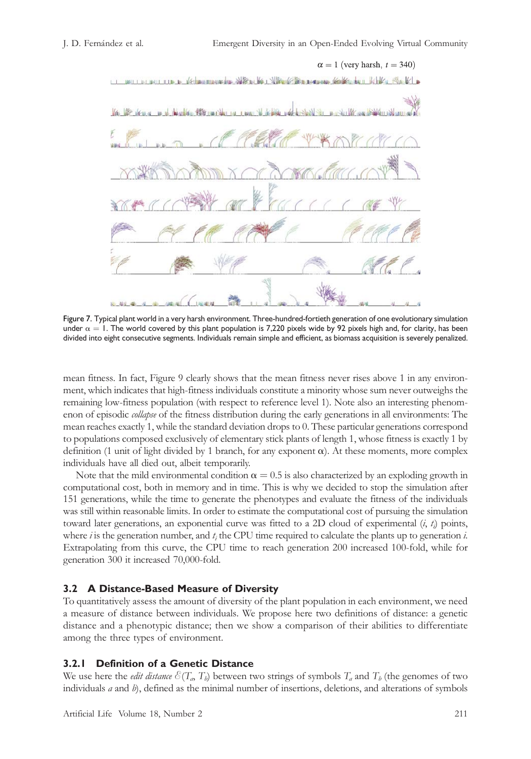

Figure 7. Typical plant world in a very harsh environment. Three-hundred-fortieth generation of one evolutionary simulation under  $\alpha = 1$ . The world covered by this plant population is 7,220 pixels wide by 92 pixels high and, for clarity, has been divided into eight consecutive segments. Individuals remain simple and efficient, as biomass acquisition is severely penalized.

mean fitness. In fact, Figure 9 clearly shows that the mean fitness never rises above 1 in any environment, which indicates that high-fitness individuals constitute a minority whose sum never outweighs the remaining low-fitness population (with respect to reference level 1). Note also an interesting phenomenon of episodic collapse of the fitness distribution during the early generations in all environments: The mean reaches exactly 1, while the standard deviation drops to 0. These particular generations correspond to populations composed exclusively of elementary stick plants of length 1, whose fitness is exactly 1 by definition (1 unit of light divided by 1 branch, for any exponent  $\alpha$ ). At these moments, more complex individuals have all died out, albeit temporarily.

Note that the mild environmental condition  $\alpha = 0.5$  is also characterized by an exploding growth in computational cost, both in memory and in time. This is why we decided to stop the simulation after 151 generations, while the time to generate the phenotypes and evaluate the fitness of the individuals was still within reasonable limits. In order to estimate the computational cost of pursuing the simulation toward later generations, an exponential curve was fitted to a 2D cloud of experimental  $(i, t_i)$  points, where  $i$  is the generation number, and  $t_i$  the CPU time required to calculate the plants up to generation  $i$ . Extrapolating from this curve, the CPU time to reach generation 200 increased 100-fold, while for generation 300 it increased 70,000-fold.

# 3.2 A Distance-Based Measure of Diversity

To quantitatively assess the amount of diversity of the plant population in each environment, we need a measure of distance between individuals. We propose here two definitions of distance: a genetic distance and a phenotypic distance; then we show a comparison of their abilities to differentiate among the three types of environment.

# 3.2.1 Definition of a Genetic Distance

We use here the *edit distance*  $\mathcal{E}(T_a, T_b)$  between two strings of symbols  $T_a$  and  $T_b$  (the genomes of two individuals  $a$  and  $b$ ), defined as the minimal number of insertions, deletions, and alterations of symbols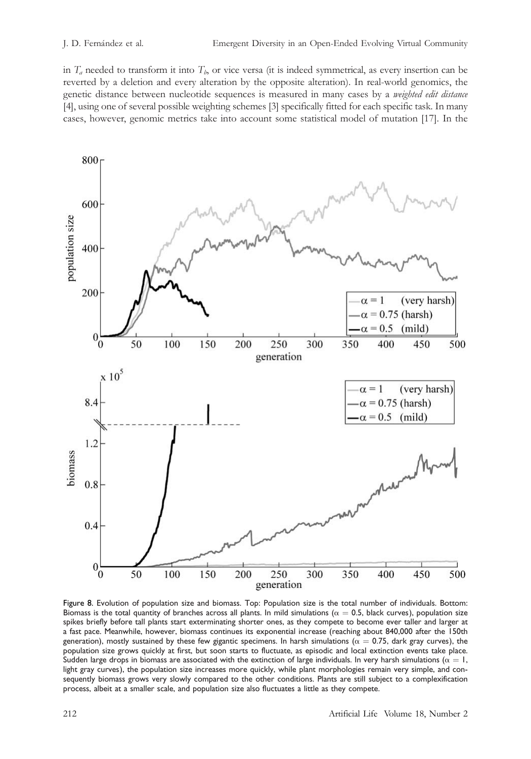in  $T_a$  needed to transform it into  $T_b$ , or vice versa (it is indeed symmetrical, as every insertion can be reverted by a deletion and every alteration by the opposite alteration). In real-world genomics, the genetic distance between nucleotide sequences is measured in many cases by a weighted edit distance [4], using one of several possible weighting schemes [3] specifically fitted for each specific task. In many cases, however, genomic metrics take into account some statistical model of mutation [17]. In the



Figure 8. Evolution of population size and biomass. Top: Population size is the total number of individuals. Bottom: Biomass is the total quantity of branches across all plants. In mild simulations ( $\alpha = 0.5$ , black curves), population size spikes briefly before tall plants start exterminating shorter ones, as they compete to become ever taller and larger at a fast pace. Meanwhile, however, biomass continues its exponential increase (reaching about 840,000 after the 150th generation), mostly sustained by these few gigantic specimens. In harsh simulations ( $\alpha = 0.75$ , dark gray curves), the population size grows quickly at first, but soon starts to fluctuate, as episodic and local extinction events take place. Sudden large drops in biomass are associated with the extinction of large individuals. In very harsh simulations ( $\alpha = 1$ , light gray curves), the population size increases more quickly, while plant morphologies remain very simple, and consequently biomass grows very slowly compared to the other conditions. Plants are still subject to a complexification process, albeit at a smaller scale, and population size also fluctuates a little as they compete.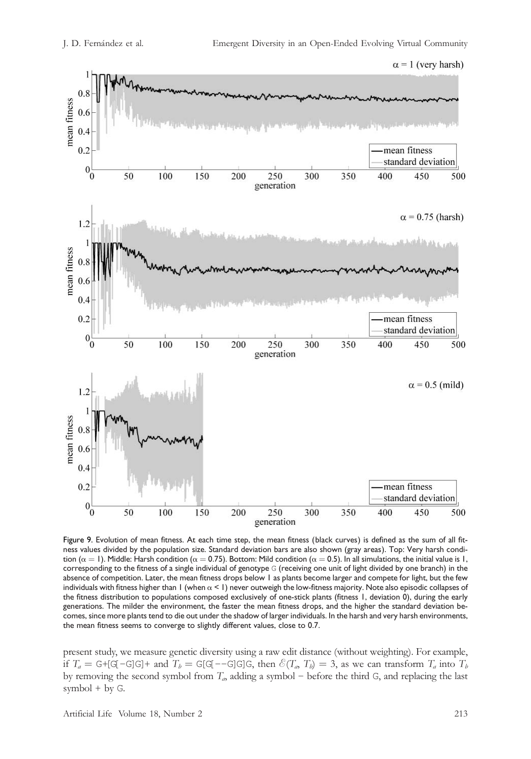

Figure 9. Evolution of mean fitness. At each time step, the mean fitness (black curves) is defined as the sum of all fitness values divided by the population size. Standard deviation bars are also shown (gray areas). Top: Very harsh condition ( $\alpha = 1$ ). Middle: Harsh condition ( $\alpha = 0.75$ ). Bottom: Mild condition ( $\alpha = 0.5$ ). In all simulations, the initial value is 1, corresponding to the fitness of a single individual of genotype G (receiving one unit of light divided by one branch) in the absence of competition. Later, the mean fitness drops below 1 as plants become larger and compete for light, but the few individuals with fitness higher than  $1$  (when  $\alpha$  < 1) never outweigh the low-fitness majority. Note also episodic collapses of the fitness distribution to populations composed exclusively of one-stick plants (fitness 1, deviation 0), during the early generations. The milder the environment, the faster the mean fitness drops, and the higher the standard deviation becomes, since more plants tend to die out under the shadow of larger individuals. In the harsh and very harsh environments, the mean fitness seems to converge to slightly different values, close to 0.7.

present study, we measure genetic diversity using a raw edit distance (without weighting). For example, if  $T_a = G + [G] - G]G +$  and  $T_b = G[G] - G]GG$ , then  $\mathcal{E}(T_a, T_b) = 3$ , as we can transform  $T_a$  into  $T_b$ by removing the second symbol from  $T_a$ , adding a symbol − before the third G, and replacing the last symbol + by G.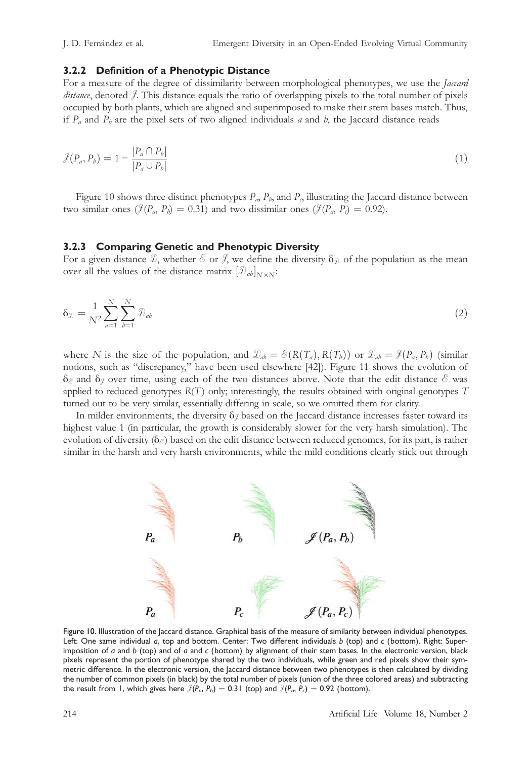# 3.2.2 Definition of a Phenotypic Distance

For a measure of the degree of dissimilarity between morphological phenotypes, we use the Jaccard distance, denoted  $\mathcal{J}$ . This distance equals the ratio of overlapping pixels to the total number of pixels occupied by both plants, which are aligned and superimposed to make their stem bases match. Thus, if  $P_a$  and  $P_b$  are the pixel sets of two aligned individuals a and b, the Jaccard distance reads

$$
\mathcal{J}(P_a, P_b) = 1 - \frac{|P_a \cap P_b|}{|P_a \cup P_b|} \tag{1}
$$

Figure 10 shows three distinct phenotypes  $P_a$ ,  $P_b$ , and  $P_c$ , illustrating the Jaccard distance between two similar ones ( $\mathcal{J}(P_a, P_b) = 0.31$ ) and two dissimilar ones ( $\mathcal{J}(P_a, P_c) = 0.92$ ).

### 3.2.3 Comparing Genetic and Phenotypic Diversity

For a given distance  $\mathcal{D}$ , whether  $\mathcal{E}$  or  $\mathcal{F}$ , we define the diversity  $\delta_{\mathcal{D}}$  of the population as the mean over all the values of the distance matrix  $[\mathcal{D}_{ab}]_{N \times N}$ :

$$
\delta_{\mathcal{D}} = \frac{1}{N^2} \sum_{a=1}^{N} \sum_{b=1}^{N} \mathcal{D}_{ab} \tag{2}
$$

where N is the size of the population, and  $\mathcal{D}_{ab} = \mathcal{E}(R(T_a), R(T_b))$  or  $\mathcal{D}_{ab} = \mathcal{F}(P_a, P_b)$  (similar notions, such as "discrepancy," have been used elsewhere [42]). Figure 11 shows the evolution of  $\delta_{\mathcal{E}}$  and  $\delta_{\mathcal{I}}$  over time, using each of the two distances above. Note that the edit distance  $\mathcal{E}$  was applied to reduced genotypes  $R(T)$  only; interestingly, the results obtained with original genotypes  $T$ turned out to be very similar, essentially differing in scale, so we omitted them for clarity.

In milder environments, the diversity  $\delta_{\mathcal{J}}$  based on the Jaccard distance increases faster toward its highest value 1 (in particular, the growth is considerably slower for the very harsh simulation). The evolution of diversity ( $\delta_{\mathcal{E}}$ ) based on the edit distance between reduced genomes, for its part, is rather similar in the harsh and very harsh environments, while the mild conditions clearly stick out through



Figure 10. Illustration of the Jaccard distance. Graphical basis of the measure of similarity between individual phenotypes. Left: One same individual  $a$ , top and bottom. Center: Two different individuals  $b$  (top) and  $c$  (bottom). Right: Superimposition of  $a$  and  $b$  (top) and of  $a$  and  $c$  (bottom) by alignment of their stem bases. In the electronic version, black pixels represent the portion of phenotype shared by the two individuals, while green and red pixels show their symmetric difference. In the electronic version, the Jaccard distance between two phenotypes is then calculated by dividing the number of common pixels (in black) by the total number of pixels (union of the three colored areas) and subtracting the result from 1, which gives here  $\mathcal{J}(P_a, P_b) = 0.31$  (top) and  $\mathcal{J}(P_a, P_c) = 0.92$  (bottom).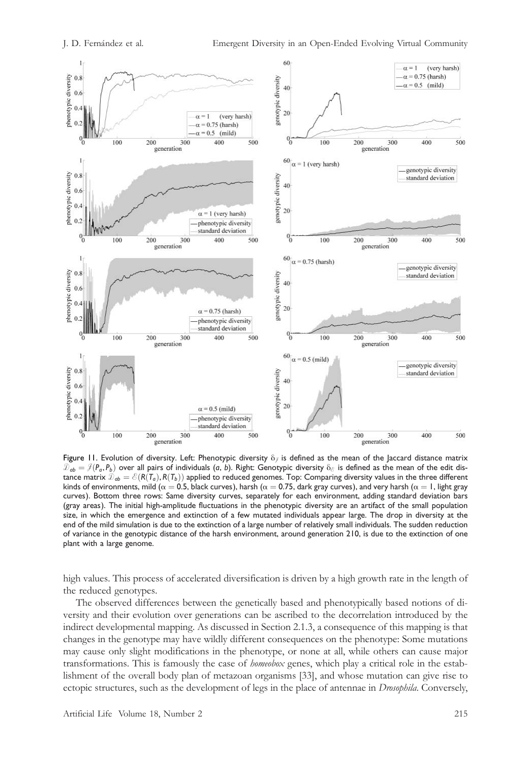

Figure 11. Evolution of diversity. Left: Phenotypic diversity  $\delta_{\gamma}$  is defined as the mean of the Jaccard distance matrix  $\mathcal{D}_{ab} = \mathcal{J}(P_a, P_b)$  over all pairs of individuals (a, b). Right: Genotypic diversity  $\delta_{\mathcal{E}}$  is defined as the mean of the edit distance matrix  $\mathcal{D}_{ab} = \mathcal{E}(R(T_a), R(T_b))$  applied to reduced genomes. Top: Comparing diversity values in the three different kinds of environments, mild ( $\alpha = 0.5$ , black curves), harsh ( $\alpha = 0.75$ , dark gray curves), and very harsh ( $\alpha = 1$ , light gray curves). Bottom three rows: Same diversity curves, separately for each environment, adding standard deviation bars (gray areas). The initial high-amplitude fluctuations in the phenotypic diversity are an artifact of the small population size, in which the emergence and extinction of a few mutated individuals appear large. The drop in diversity at the end of the mild simulation is due to the extinction of a large number of relatively small individuals. The sudden reduction of variance in the genotypic distance of the harsh environment, around generation 210, is due to the extinction of one plant with a large genome.

high values. This process of accelerated diversification is driven by a high growth rate in the length of the reduced genotypes.

The observed differences between the genetically based and phenotypically based notions of diversity and their evolution over generations can be ascribed to the decorrelation introduced by the indirect developmental mapping. As discussed in Section 2.1.3, a consequence of this mapping is that changes in the genotype may have wildly different consequences on the phenotype: Some mutations may cause only slight modifications in the phenotype, or none at all, while others can cause major transformations. This is famously the case of *homeobox* genes, which play a critical role in the establishment of the overall body plan of metazoan organisms [33], and whose mutation can give rise to ectopic structures, such as the development of legs in the place of antennae in *Drosophila*. Conversely,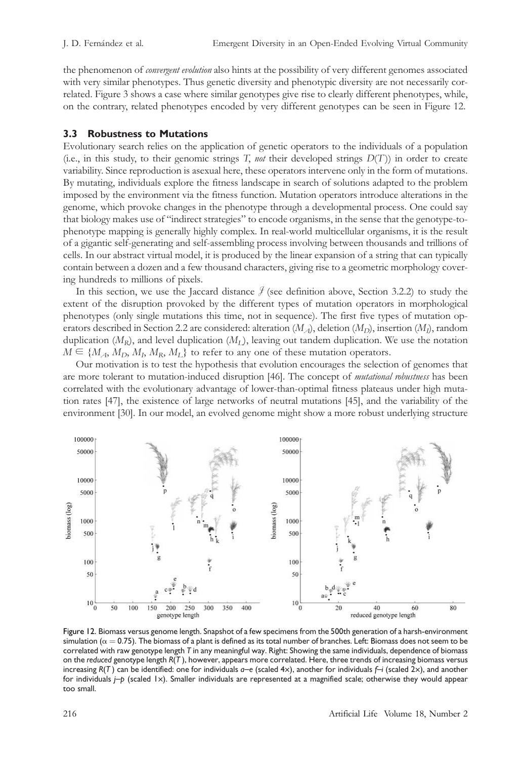the phenomenon of *convergent evolution* also hints at the possibility of very different genomes associated with very similar phenotypes. Thus genetic diversity and phenotypic diversity are not necessarily correlated. Figure 3 shows a case where similar genotypes give rise to clearly different phenotypes, while, on the contrary, related phenotypes encoded by very different genotypes can be seen in Figure 12.

### 3.3 Robustness to Mutations

Evolutionary search relies on the application of genetic operators to the individuals of a population (i.e., in this study, to their genomic strings T, *not* their developed strings  $D(T)$ ) in order to create variability. Since reproduction is asexual here, these operators intervene only in the form of mutations. By mutating, individuals explore the fitness landscape in search of solutions adapted to the problem imposed by the environment via the fitness function. Mutation operators introduce alterations in the genome, which provoke changes in the phenotype through a developmental process. One could say that biology makes use of "indirect strategies" to encode organisms, in the sense that the genotype-tophenotype mapping is generally highly complex. In real-world multicellular organisms, it is the result of a gigantic self-generating and self-assembling process involving between thousands and trillions of cells. In our abstract virtual model, it is produced by the linear expansion of a string that can typically contain between a dozen and a few thousand characters, giving rise to a geometric morphology covering hundreds to millions of pixels.

In this section, we use the Jaccard distance  $\mathcal{J}$  (see definition above, Section 3.2.2) to study the extent of the disruption provoked by the different types of mutation operators in morphological phenotypes (only single mutations this time, not in sequence). The first five types of mutation operators described in Section 2.2 are considered: alteration  $(M_A)$ , deletion  $(M_D)$ , insertion  $(M_I)$ , random duplication  $(M_R)$ , and level duplication  $(M_L)$ , leaving out tandem duplication. We use the notation  $M \in \{M_A, M_D, M_I, M_R, M_L\}$  to refer to any one of these mutation operators.

Our motivation is to test the hypothesis that evolution encourages the selection of genomes that are more tolerant to mutation-induced disruption [46]. The concept of *mutational robustness* has been correlated with the evolutionary advantage of lower-than-optimal fitness plateaus under high mutation rates [47], the existence of large networks of neutral mutations [45], and the variability of the environment [30]. In our model, an evolved genome might show a more robust underlying structure



Figure 12. Biomass versus genome length. Snapshot of a few specimens from the 500th generation of a harsh-environment simulation ( $\alpha$  = 0.75). The biomass of a plant is defined as its total number of branches. Left: Biomass does not seem to be correlated with raw genotype length T in any meaningful way. Right: Showing the same individuals, dependence of biomass on the reduced genotype length  $R(T)$ , however, appears more correlated. Here, three trends of increasing biomass versus increasing  $R(T)$  can be identified: one for individuals  $a-e$  (scaled  $4x$ ), another for individuals  $f-i$  (scaled  $2x$ ), and another for individuals  $j-p$  (scaled  $1\times$ ). Smaller individuals are represented at a magnified scale; otherwise they would appear too small.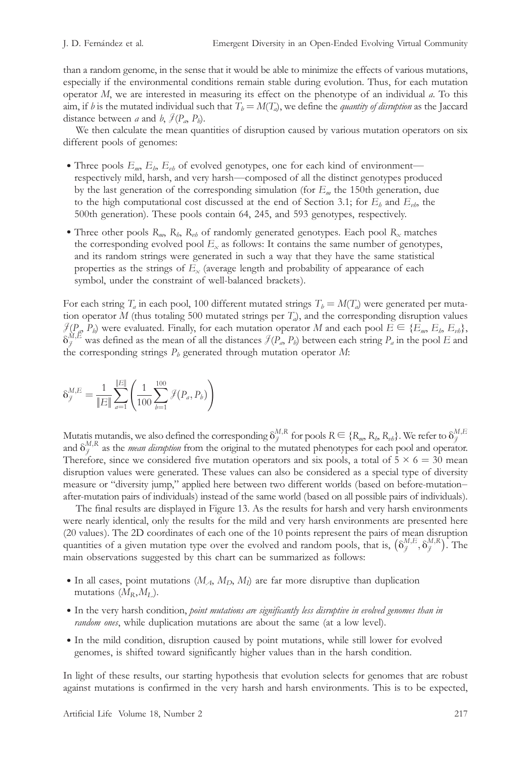than a random genome, in the sense that it would be able to minimize the effects of various mutations, especially if the environmental conditions remain stable during evolution. Thus, for each mutation operator  $M$ , we are interested in measuring its effect on the phenotype of an individual  $a$ . To this aim, if b is the mutated individual such that  $T_b = M(T_a)$ , we define the *quantity of disruption* as the Jaccard distance between a and b,  $\mathcal{F}(P_{\alpha}, P_{b})$ .

We then calculate the mean quantities of disruption caused by various mutation operators on six different pools of genomes:

- Three pools  $E_m$ ,  $E_b$ ,  $E_{vb}$  of evolved genotypes, one for each kind of environment respectively mild, harsh, and very harsh—composed of all the distinct genotypes produced by the last generation of the corresponding simulation (for  $E<sub>m</sub>$  the 150th generation, due to the high computational cost discussed at the end of Section 3.1; for  $E_b$  and  $E_{vb}$ , the 500th generation). These pools contain 64, 245, and 593 genotypes, respectively.
- Three other pools  $R_m$ ,  $R_b$ ,  $R_{vb}$  of randomly generated genotypes. Each pool  $R_x$  matches the corresponding evolved pool  $E_x$  as follows: It contains the same number of genotypes, and its random strings were generated in such a way that they have the same statistical properties as the strings of  $E<sub>x</sub>$  (average length and probability of appearance of each symbol, under the constraint of well-balanced brackets).

For each string  $T_a$  in each pool, 100 different mutated strings  $T_b = M(T_a)$  were generated per mutation operator M (thus totaling 500 mutated strings per  $T_a$ ), and the corresponding disruption values  $\mathcal{J}(P_a, P_b)$  were evaluated. Finally, for each mutation operator M and each pool  $E \in \{E_m, E_b, E_{ub}\},$  $\delta_{\mathcal{J}}^{M,E}$  was defined as the mean of all the distances  $\mathcal{J}(P_a, P_b)$  between each string  $P_a$  in the pool E and the corresponding strings  $P_b$  generated through mutation operator M:

$$
\delta_{\mathcal{J}}^{M,E} = \frac{1}{\|E\|} \sum_{a=1}^{\|E\|} \left( \frac{1}{100} \sum_{b=1}^{100} \mathcal{J}(P_a, P_b) \right)
$$

Mutatis mutandis, we also defined the corresponding  $\delta_{\mathcal{J}}^{M,R}$  for pools  $R \in \{R_m, R_b, R_w\}$ . We refer to  $\delta_{\mathcal{J}}^{M,R}$ J and  $\delta_A^{M,R}$  as the *mean disruption* from the original to the mutated phenotypes for each pool and operator. Therefore, since we considered five mutation operators and six pools, a total of  $5 \times 6 = 30$  mean disruption values were generated. These values can also be considered as a special type of diversity measure or "diversity jump," applied here between two different worlds (based on before-mutation– after-mutation pairs of individuals) instead of the same world (based on all possible pairs of individuals).

The final results are displayed in Figure 13. As the results for harsh and very harsh environments were nearly identical, only the results for the mild and very harsh environments are presented here (20 values). The 2D coordinates of each one of the 10 points represent the pairs of mean disruption quantities of a given mutation type over the evolved and random pools, that is,  $( \delta_{\mathcal{J}}^{M,E}, \delta_{\mathcal{J}}^{M,R} )$  $_{\mathscr{J}}^{M,\mathrm{K}}$ ). The main observations suggested by this chart can be summarized as follows:

- In all cases, point mutations  $(M_A, M_D, M_I)$  are far more disruptive than duplication mutations  $(M_R, M_L)$ .
- In the very harsh condition, point mutations are significantly less disruptive in evolved genomes than in random ones, while duplication mutations are about the same (at a low level).
- In the mild condition, disruption caused by point mutations, while still lower for evolved genomes, is shifted toward significantly higher values than in the harsh condition.

In light of these results, our starting hypothesis that evolution selects for genomes that are robust against mutations is confirmed in the very harsh and harsh environments. This is to be expected,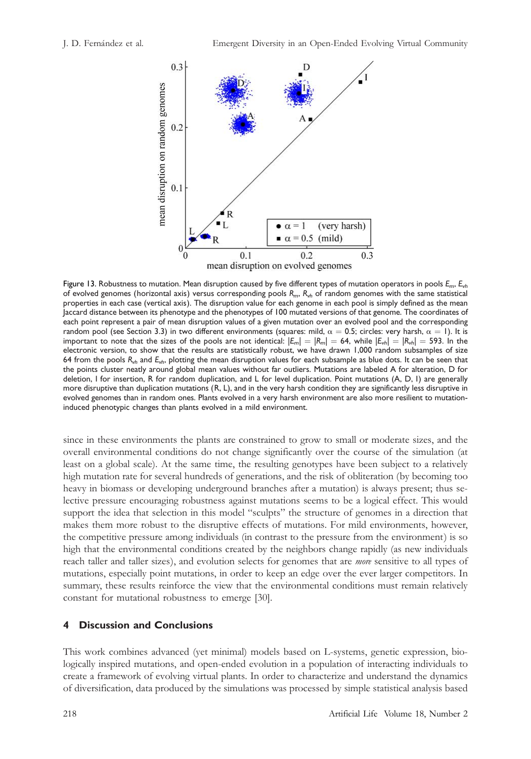

Figure 13. Robustness to mutation. Mean disruption caused by five different types of mutation operators in pools  $E_m$ ,  $E_w$ of evolved genomes (horizontal axis) versus corresponding pools  $R_m$ ,  $R_{vh}$  of random genomes with the same statistical properties in each case (vertical axis). The disruption value for each genome in each pool is simply defined as the mean Jaccard distance between its phenotype and the phenotypes of 100 mutated versions of that genome. The coordinates of each point represent a pair of mean disruption values of a given mutation over an evolved pool and the corresponding random pool (see Section 3.3) in two different environments (squares: mild,  $\alpha = 0.5$ ; circles: very harsh,  $\alpha = 1$ ). It is important to note that the sizes of the pools are not identical:  $|E_m| = |R_m| = 64$ , while  $|E_{vh}| = |R_{vh}| = 593$ . In the electronic version, to show that the results are statistically robust, we have drawn 1,000 random subsamples of size 64 from the pools  $R_{vh}$  and  $E_{vh}$ , plotting the mean disruption values for each subsample as blue dots. It can be seen that the points cluster neatly around global mean values without far outliers. Mutations are labeled A for alteration, D for deletion, I for insertion, R for random duplication, and L for level duplication. Point mutations (A, D, I) are generally more disruptive than duplication mutations (R, L), and in the very harsh condition they are significantly less disruptive in evolved genomes than in random ones. Plants evolved in a very harsh environment are also more resilient to mutationinduced phenotypic changes than plants evolved in a mild environment.

since in these environments the plants are constrained to grow to small or moderate sizes, and the overall environmental conditions do not change significantly over the course of the simulation (at least on a global scale). At the same time, the resulting genotypes have been subject to a relatively high mutation rate for several hundreds of generations, and the risk of obliteration (by becoming too heavy in biomass or developing underground branches after a mutation) is always present; thus selective pressure encouraging robustness against mutations seems to be a logical effect. This would support the idea that selection in this model "sculpts" the structure of genomes in a direction that makes them more robust to the disruptive effects of mutations. For mild environments, however, the competitive pressure among individuals (in contrast to the pressure from the environment) is so high that the environmental conditions created by the neighbors change rapidly (as new individuals reach taller and taller sizes), and evolution selects for genomes that are more sensitive to all types of mutations, especially point mutations, in order to keep an edge over the ever larger competitors. In summary, these results reinforce the view that the environmental conditions must remain relatively constant for mutational robustness to emerge [30].

# 4 Discussion and Conclusions

This work combines advanced (yet minimal) models based on L-systems, genetic expression, biologically inspired mutations, and open-ended evolution in a population of interacting individuals to create a framework of evolving virtual plants. In order to characterize and understand the dynamics of diversification, data produced by the simulations was processed by simple statistical analysis based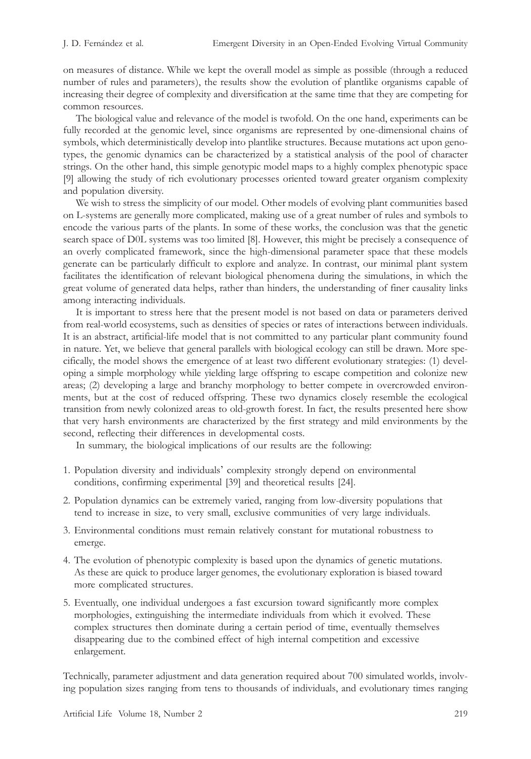on measures of distance. While we kept the overall model as simple as possible (through a reduced number of rules and parameters), the results show the evolution of plantlike organisms capable of increasing their degree of complexity and diversification at the same time that they are competing for common resources.

The biological value and relevance of the model is twofold. On the one hand, experiments can be fully recorded at the genomic level, since organisms are represented by one-dimensional chains of symbols, which deterministically develop into plantlike structures. Because mutations act upon genotypes, the genomic dynamics can be characterized by a statistical analysis of the pool of character strings. On the other hand, this simple genotypic model maps to a highly complex phenotypic space [9] allowing the study of rich evolutionary processes oriented toward greater organism complexity and population diversity.

We wish to stress the simplicity of our model. Other models of evolving plant communities based on L-systems are generally more complicated, making use of a great number of rules and symbols to encode the various parts of the plants. In some of these works, the conclusion was that the genetic search space of D0L systems was too limited [8]. However, this might be precisely a consequence of an overly complicated framework, since the high-dimensional parameter space that these models generate can be particularly difficult to explore and analyze. In contrast, our minimal plant system facilitates the identification of relevant biological phenomena during the simulations, in which the great volume of generated data helps, rather than hinders, the understanding of finer causality links among interacting individuals.

It is important to stress here that the present model is not based on data or parameters derived from real-world ecosystems, such as densities of species or rates of interactions between individuals. It is an abstract, artificial-life model that is not committed to any particular plant community found in nature. Yet, we believe that general parallels with biological ecology can still be drawn. More specifically, the model shows the emergence of at least two different evolutionary strategies: (1) developing a simple morphology while yielding large offspring to escape competition and colonize new areas; (2) developing a large and branchy morphology to better compete in overcrowded environments, but at the cost of reduced offspring. These two dynamics closely resemble the ecological transition from newly colonized areas to old-growth forest. In fact, the results presented here show that very harsh environments are characterized by the first strategy and mild environments by the second, reflecting their differences in developmental costs.

In summary, the biological implications of our results are the following:

- 1. Population diversity and individuals' complexity strongly depend on environmental conditions, confirming experimental [39] and theoretical results [24].
- 2. Population dynamics can be extremely varied, ranging from low-diversity populations that tend to increase in size, to very small, exclusive communities of very large individuals.
- 3. Environmental conditions must remain relatively constant for mutational robustness to emerge.
- 4. The evolution of phenotypic complexity is based upon the dynamics of genetic mutations. As these are quick to produce larger genomes, the evolutionary exploration is biased toward more complicated structures.
- 5. Eventually, one individual undergoes a fast excursion toward significantly more complex morphologies, extinguishing the intermediate individuals from which it evolved. These complex structures then dominate during a certain period of time, eventually themselves disappearing due to the combined effect of high internal competition and excessive enlargement.

Technically, parameter adjustment and data generation required about 700 simulated worlds, involving population sizes ranging from tens to thousands of individuals, and evolutionary times ranging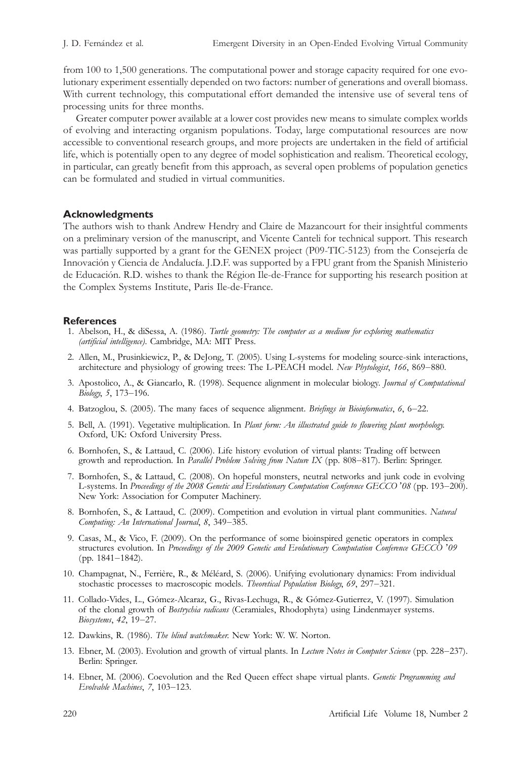from 100 to 1,500 generations. The computational power and storage capacity required for one evolutionary experiment essentially depended on two factors: number of generations and overall biomass. With current technology, this computational effort demanded the intensive use of several tens of processing units for three months.

Greater computer power available at a lower cost provides new means to simulate complex worlds of evolving and interacting organism populations. Today, large computational resources are now accessible to conventional research groups, and more projects are undertaken in the field of artificial life, which is potentially open to any degree of model sophistication and realism. Theoretical ecology, in particular, can greatly benefit from this approach, as several open problems of population genetics can be formulated and studied in virtual communities.

# Acknowledgments

The authors wish to thank Andrew Hendry and Claire de Mazancourt for their insightful comments on a preliminary version of the manuscript, and Vicente Canteli for technical support. This research was partially supported by a grant for the GENEX project (P09-TIC-5123) from the Consejería de Innovación y Ciencia de Andalucía. J.D.F. was supported by a FPU grant from the Spanish Ministerio de Educación. R.D. wishes to thank the Région Ile-de-France for supporting his research position at the Complex Systems Institute, Paris Ile-de-France.

# References

- 1. Abelson, H., & diSessa, A. (1986). Turtle geometry: The computer as a medium for exploring mathematics (artificial intelligence). Cambridge, MA: MIT Press.
- 2. Allen, M., Prusinkiewicz, P., & DeJong, T. (2005). Using L-systems for modeling source-sink interactions, architecture and physiology of growing trees: The L-PEACH model. New Phytologist, 166, 869-880.
- 3. Apostolico, A., & Giancarlo, R. (1998). Sequence alignment in molecular biology. Journal of Computational Biology, 5, 173–196.
- 4. Batzoglou, S. (2005). The many faces of sequence alignment. Briefings in Bioinformatics, 6, 6–22.
- 5. Bell, A. (1991). Vegetative multiplication. In Plant form: An illustrated guide to flowering plant morphology. Oxford, UK: Oxford University Press.
- 6. Bornhofen, S., & Lattaud, C. (2006). Life history evolution of virtual plants: Trading off between growth and reproduction. In Parallel Problem Solving from Nature IX (pp. 808-817). Berlin: Springer.
- 7. Bornhofen, S., & Lattaud, C. (2008). On hopeful monsters, neutral networks and junk code in evolving L-systems. In Proceedings of the 2008 Genetic and Evolutionary Computation Conference GECCO '08 (pp. 193-200). New York: Association for Computer Machinery.
- 8. Bornhofen, S., & Lattaud, C. (2009). Competition and evolution in virtual plant communities. Natural Computing: An International Journal, 8, 349–385.
- 9. Casas, M., & Vico, F. (2009). On the performance of some bioinspired genetic operators in complex structures evolution. In Proceedings of the 2009 Genetic and Evolutionary Computation Conference GECCO '09 (pp. 1841–1842).
- 10. Champagnat, N., Ferrière, R., & Méléard, S. (2006). Unifying evolutionary dynamics: From individual stochastic processes to macroscopic models. Theoretical Population Biology, 69, 297-321.
- 11. Collado-Vides, L., Gómez-Alcaraz, G., Rivas-Lechuga, R., & Gómez-Gutierrez, V. (1997). Simulation of the clonal growth of *Bostrychia radicans* (Ceramiales, Rhodophyta) using Lindenmayer systems. Biosystems, 42, 19–27.
- 12. Dawkins, R. (1986). The blind watchmaker. New York: W. W. Norton.
- 13. Ebner, M. (2003). Evolution and growth of virtual plants. In Lecture Notes in Computer Science (pp. 228–237). Berlin: Springer.
- 14. Ebner, M. (2006). Coevolution and the Red Queen effect shape virtual plants. Genetic Programming and Evolvable Machines, 7, 103–123.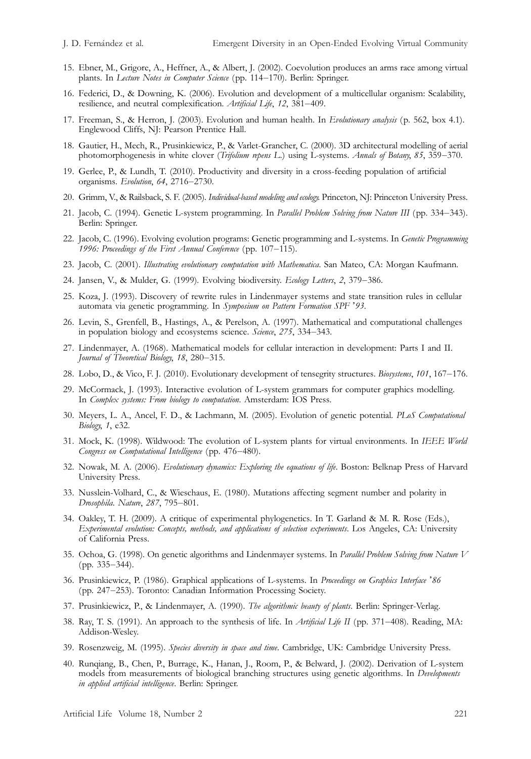- 15. Ebner, M., Grigore, A., Heffner, A., & Albert, J. (2002). Coevolution produces an arms race among virtual plants. In Lecture Notes in Computer Science (pp. 114–170). Berlin: Springer.
- 16. Federici, D., & Downing, K. (2006). Evolution and development of a multicellular organism: Scalability, resilience, and neutral complexification. Artificial Life, 12, 381–409.
- 17. Freeman, S., & Herron, J. (2003). Evolution and human health. In Evolutionary analysis (p. 562, box 4.1). Englewood Cliffs, NJ: Pearson Prentice Hall.
- 18. Gautier, H., Mech, R., Prusinkiewicz, P., & Varlet-Grancher, C. (2000). 3D architectural modelling of aerial photomorphogenesis in white clover (Trifolium repens L.) using L-systems. Annals of Botany, 85, 359–370.
- 19. Gerlee, P., & Lundh, T. (2010). Productivity and diversity in a cross-feeding population of artificial organisms. Evolution, 64, 2716–2730.
- 20. Grimm, V., & Railsback, S. F. (2005). Individual-based modeling and ecology. Princeton, NJ: Princeton University Press.
- 21. Jacob, C. (1994). Genetic L-system programming. In Parallel Problem Solving from Nature III (pp. 334-343). Berlin: Springer.
- 22. Jacob, C. (1996). Evolving evolution programs: Genetic programming and L-systems. In Genetic Programming 1996: Proceedings of the First Annual Conference (pp. 107–115).
- 23. Jacob, C. (2001). Illustrating evolutionary computation with Mathematica. San Mateo, CA: Morgan Kaufmann.
- 24. Jansen, V., & Mulder, G. (1999). Evolving biodiversity. Ecology Letters, 2, 379–386.
- 25. Koza, J. (1993). Discovery of rewrite rules in Lindenmayer systems and state transition rules in cellular automata via genetic programming. In Symposium on Pattern Formation SPF '93.
- 26. Levin, S., Grenfell, B., Hastings, A., & Perelson, A. (1997). Mathematical and computational challenges in population biology and ecosystems science. Science, 275, 334-343.
- 27. Lindenmayer, A. (1968). Mathematical models for cellular interaction in development: Parts I and II. Journal of Theoretical Biology, 18, 280–315.
- 28. Lobo, D., & Vico, F. J. (2010). Evolutionary development of tensegrity structures. Biosystems, 101, 167–176.
- 29. McCormack, J. (1993). Interactive evolution of L-system grammars for computer graphics modelling. In Complex systems: From biology to computation. Amsterdam: IOS Press.
- 30. Meyers, L. A., Ancel, F. D., & Lachmann, M. (2005). Evolution of genetic potential. PLoS Computational Biology, 1, e32.
- 31. Mock, K. (1998). Wildwood: The evolution of L-system plants for virtual environments. In IEEE World Congress on Computational Intelligence (pp. 476–480).
- 32. Nowak, M. A. (2006). Evolutionary dynamics: Exploring the equations of life. Boston: Belknap Press of Harvard University Press.
- 33. Nusslein-Volhard, C., & Wieschaus, E. (1980). Mutations affecting segment number and polarity in Drosophila. Nature, 287, 795–801.
- 34. Oakley, T. H. (2009). A critique of experimental phylogenetics. In T. Garland & M. R. Rose (Eds.), Experimental evolution: Concepts, methods, and applications of selection experiments. Los Angeles, CA: University of California Press.
- 35. Ochoa, G. (1998). On genetic algorithms and Lindenmayer systems. In Parallel Problem Solving from Nature V (pp. 335–344).
- 36. Prusinkiewicz, P. (1986). Graphical applications of L-systems. In Proceedings on Graphics Interface '86 (pp. 247–253). Toronto: Canadian Information Processing Society.
- 37. Prusinkiewicz, P., & Lindenmayer, A. (1990). The algorithmic beauty of plants. Berlin: Springer-Verlag.
- 38. Ray, T. S. (1991). An approach to the synthesis of life. In Artificial Life II (pp. 371–408). Reading, MA: Addison-Wesley.
- 39. Rosenzweig, M. (1995). Species diversity in space and time. Cambridge, UK: Cambridge University Press.
- 40. Runqiang, B., Chen, P., Burrage, K., Hanan, J., Room, P., & Belward, J. (2002). Derivation of L-system models from measurements of biological branching structures using genetic algorithms. In Developments in applied artificial intelligence. Berlin: Springer.